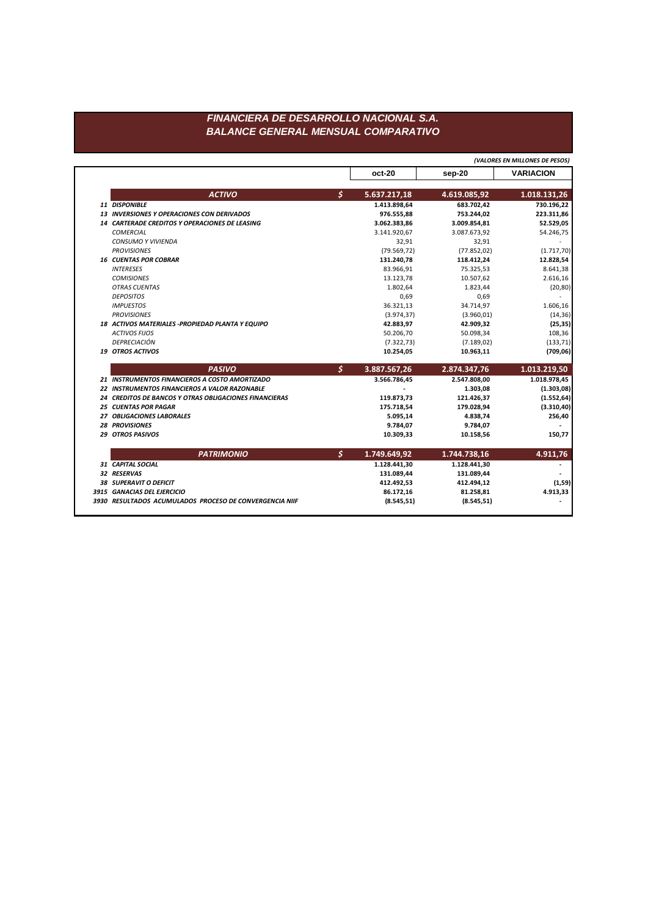## FINANCIERA DE DESARROLLO NACIONAL S.A. **BALANCE GENERAL MENSUAL COMPARATIVO**

|                                                        |              |              | (VALORES EN MILLONES DE PESOS) |
|--------------------------------------------------------|--------------|--------------|--------------------------------|
|                                                        | oct-20       | sep-20       | <b>VARIACION</b>               |
| \$<br><b>ACTIVO</b>                                    | 5.637.217,18 | 4.619.085,92 | 1.018.131,26                   |
| 11 DISPONIBLE                                          | 1.413.898,64 | 683.702.42   | 730.196,22                     |
| <b>13 INVERSIONES Y OPERACIONES CON DERIVADOS</b>      | 976.555,88   | 753.244,02   | 223.311,86                     |
| <b>14 CARTERADE CREDITOS Y OPERACIONES DE LEASING</b>  | 3.062.383,86 | 3.009.854,81 | 52.529,05                      |
| <b>COMERCIAL</b>                                       | 3.141.920,67 | 3.087.673,92 | 54.246,75                      |
| <b>CONSUMO Y VIVIENDA</b>                              | 32,91        | 32,91        |                                |
| <b>PROVISIONES</b>                                     | (79.569, 72) | (77.852, 02) | (1.717, 70)                    |
| <b>16 CUENTAS POR COBRAR</b>                           | 131.240,78   | 118.412,24   | 12.828,54                      |
| <b>INTERESES</b>                                       | 83.966.91    | 75.325,53    | 8.641,38                       |
| <b>COMISIONES</b>                                      | 13.123,78    | 10.507,62    | 2.616,16                       |
| <b>OTRAS CUENTAS</b>                                   | 1.802,64     | 1.823,44     | (20, 80)                       |
| <b>DEPOSITOS</b>                                       | 0,69         | 0,69         |                                |
| <b>IMPUESTOS</b>                                       | 36.321,13    | 34.714,97    | 1.606,16                       |
| <b>PROVISIONES</b>                                     | (3.974, 37)  | (3.960, 01)  | (14, 36)                       |
| 18 ACTIVOS MATERIALES - PROPIEDAD PLANTA Y EQUIPO      | 42.883,97    | 42.909,32    | (25, 35)                       |
| <b>ACTIVOS FIJOS</b>                                   | 50.206,70    | 50.098,34    | 108,36                         |
| DEPRECIACIÓN                                           | (7.322, 73)  | (7.189, 02)  | (133, 71)                      |
| <b>19 OTROS ACTIVOS</b>                                | 10.254,05    | 10.963,11    | (709, 06)                      |
| \$<br><b>PASIVO</b>                                    | 3.887.567,26 | 2.874.347,76 | 1.013.219,50                   |
| 21 INSTRUMENTOS FINANCIEROS A COSTO AMORTIZADO         | 3.566.786,45 | 2.547.808,00 | 1.018.978,45                   |
| <b>22 INSTRUMENTOS FINANCIEROS A VALOR RAZONABLE</b>   |              | 1.303,08     | (1.303,08)                     |
| 24 CREDITOS DE BANCOS Y OTRAS OBLIGACIONES FINANCIERAS | 119.873,73   | 121.426,37   | (1.552, 64)                    |
| <b>25 CUENTAS POR PAGAR</b>                            | 175.718,54   | 179.028,94   | (3.310, 40)                    |
| 27 OBLIGACIONES LABORALES                              | 5.095,14     | 4.838,74     | 256,40                         |
| <b>28 PROVISIONES</b>                                  | 9.784,07     | 9.784,07     |                                |
| 29 OTROS PASIVOS                                       | 10.309,33    | 10.158,56    | 150,77                         |
| \$<br><b>PATRIMONIO</b>                                | 1.749.649,92 | 1.744.738,16 | 4.911,76                       |
| 31 CAPITAL SOCIAL                                      | 1.128.441,30 | 1.128.441,30 |                                |
| 32 RESERVAS                                            | 131.089,44   | 131.089,44   |                                |
| <b>38 SUPERAVIT O DEFICIT</b>                          | 412.492,53   | 412.494,12   | (1, 59)                        |
|                                                        |              |              |                                |
| 3915 GANACIAS DEL EJERCICIO                            | 86.172,16    | 81.258,81    | 4.913,33                       |